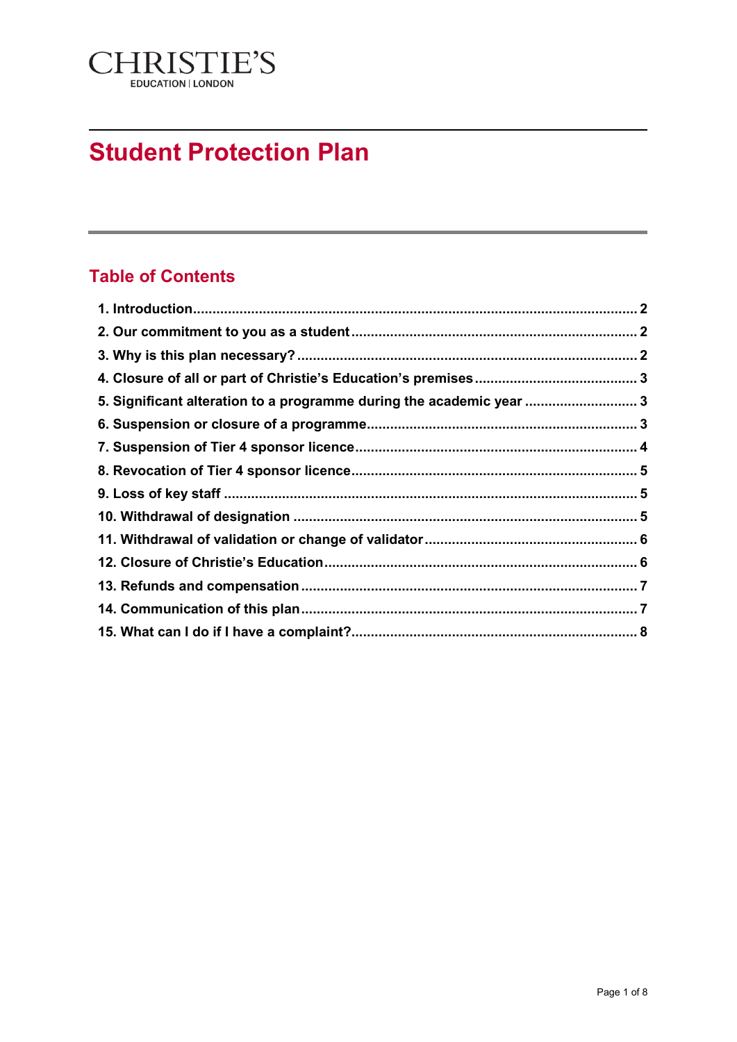

# **Student Protection Plan**

# **Table of Contents**

| 5. Significant alteration to a programme during the academic year  3 |  |
|----------------------------------------------------------------------|--|
|                                                                      |  |
|                                                                      |  |
|                                                                      |  |
|                                                                      |  |
|                                                                      |  |
|                                                                      |  |
|                                                                      |  |
|                                                                      |  |
|                                                                      |  |
|                                                                      |  |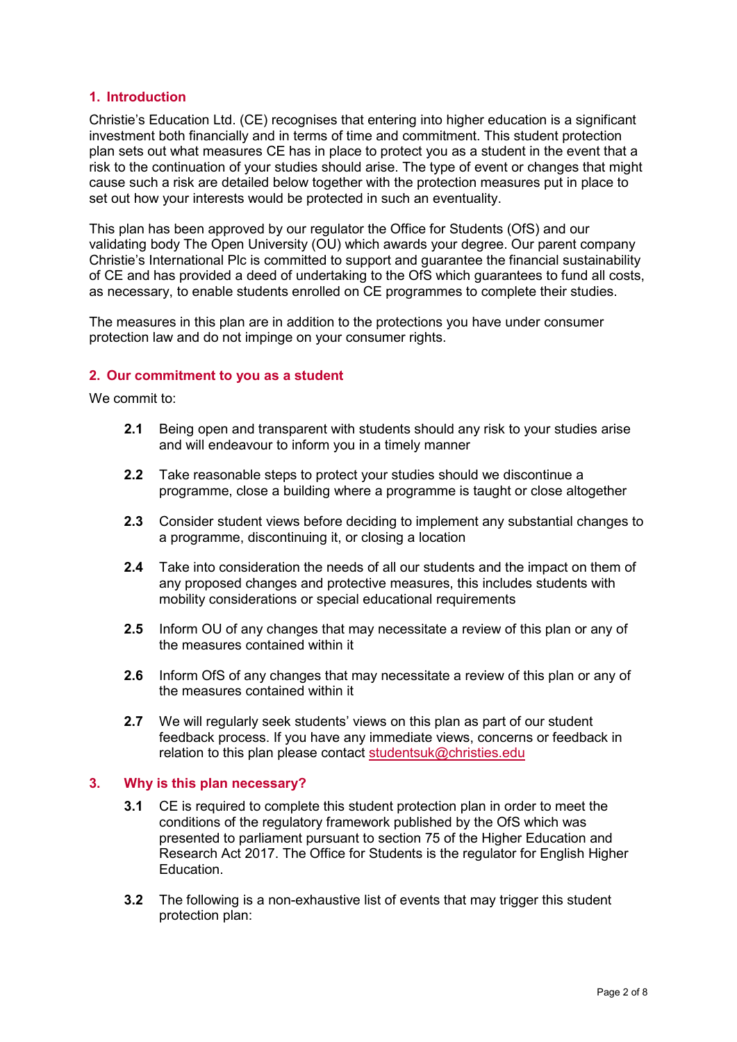# <span id="page-1-0"></span>**1. Introduction**

Christie's Education Ltd. (CE) recognises that entering into higher education is a significant investment both financially and in terms of time and commitment. This student protection plan sets out what measures CE has in place to protect you as a student in the event that a risk to the continuation of your studies should arise. The type of event or changes that might cause such a risk are detailed below together with the protection measures put in place to set out how your interests would be protected in such an eventuality.

This plan has been approved by our regulator the Office for Students (OfS) and our validating body The Open University (OU) which awards your degree. Our parent company Christie's International Plc is committed to support and guarantee the financial sustainability of CE and has provided a deed of undertaking to the OfS which guarantees to fund all costs, as necessary, to enable students enrolled on CE programmes to complete their studies.

The measures in this plan are in addition to the protections you have under consumer protection law and do not impinge on your consumer rights.

# <span id="page-1-1"></span>**2. Our commitment to you as a student**

We commit to:

- **2.1** Being open and transparent with students should any risk to your studies arise and will endeavour to inform you in a timely manner
- **2.2** Take reasonable steps to protect your studies should we discontinue a programme, close a building where a programme is taught or close altogether
- **2.3** Consider student views before deciding to implement any substantial changes to a programme, discontinuing it, or closing a location
- **2.4** Take into consideration the needs of all our students and the impact on them of any proposed changes and protective measures, this includes students with mobility considerations or special educational requirements
- **2.5** Inform OU of any changes that may necessitate a review of this plan or any of the measures contained within it
- **2.6** Inform OfS of any changes that may necessitate a review of this plan or any of the measures contained within it
- **2.7** We will regularly seek students' views on this plan as part of our student feedback process. If you have any immediate views, concerns or feedback in relation to this plan please contact [studentsuk@christies.edu](mailto:studentsuk@christies.edu)

#### <span id="page-1-2"></span>**3. Why is this plan necessary?**

- **3.1** CE is required to complete this student protection plan in order to meet the conditions of the regulatory framework published by the OfS which was presented to parliament pursuant to section 75 of the Higher Education and Research Act 2017. The Office for Students is the regulator for English Higher Education.
- **3.2** The following is a non-exhaustive list of events that may trigger this student protection plan: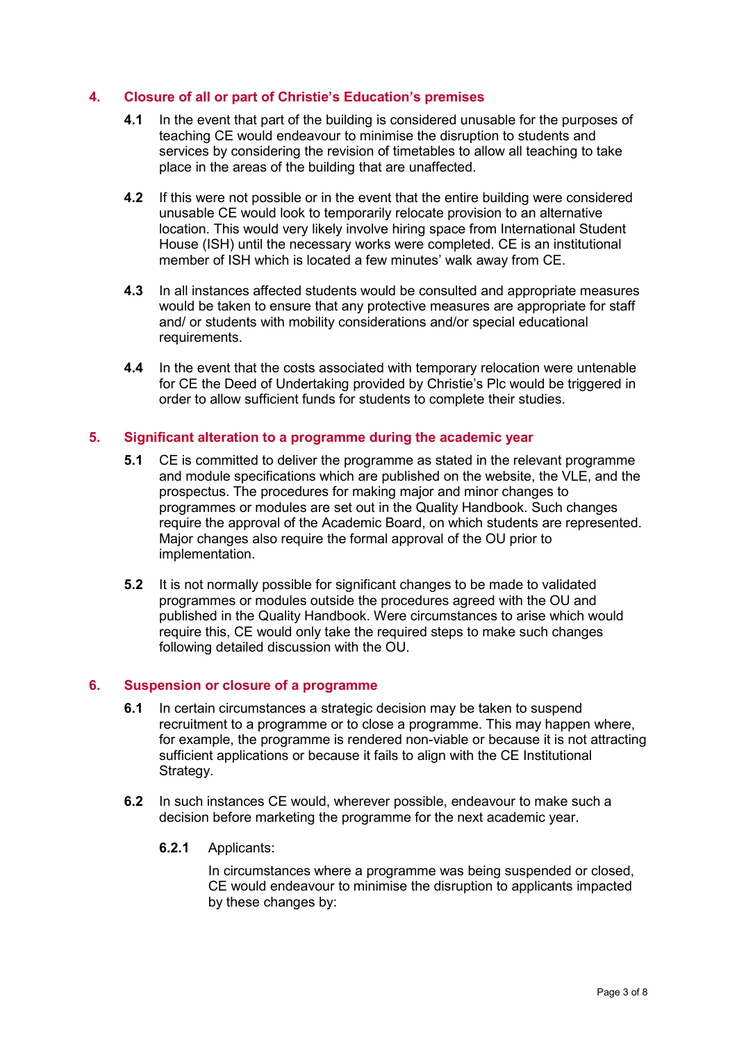# <span id="page-2-0"></span>**4. Closure of all or part of Christie's Education's premises**

- **4.1** In the event that part of the building is considered unusable for the purposes of teaching CE would endeavour to minimise the disruption to students and services by considering the revision of timetables to allow all teaching to take place in the areas of the building that are unaffected.
- **4.2** If this were not possible or in the event that the entire building were considered unusable CE would look to temporarily relocate provision to an alternative location. This would very likely involve hiring space from International Student House (ISH) until the necessary works were completed. CE is an institutional member of ISH which is located a few minutes' walk away from CE.
- **4.3** In all instances affected students would be consulted and appropriate measures would be taken to ensure that any protective measures are appropriate for staff and/ or students with mobility considerations and/or special educational requirements.
- **4.4** In the event that the costs associated with temporary relocation were untenable for CE the Deed of Undertaking provided by Christie's Plc would be triggered in order to allow sufficient funds for students to complete their studies.

# <span id="page-2-1"></span>**5. Significant alteration to a programme during the academic year**

- **5.1** CE is committed to deliver the programme as stated in the relevant programme and module specifications which are published on the website, the VLE, and the prospectus. The procedures for making major and minor changes to programmes or modules are set out in the Quality Handbook. Such changes require the approval of the Academic Board, on which students are represented. Major changes also require the formal approval of the OU prior to implementation.
- **5.2** It is not normally possible for significant changes to be made to validated programmes or modules outside the procedures agreed with the OU and published in the Quality Handbook. Were circumstances to arise which would require this, CE would only take the required steps to make such changes following detailed discussion with the OU.

#### <span id="page-2-2"></span>**6. Suspension or closure of a programme**

- **6.1** In certain circumstances a strategic decision may be taken to suspend recruitment to a programme or to close a programme. This may happen where, for example, the programme is rendered non-viable or because it is not attracting sufficient applications or because it fails to align with the CE Institutional Strategy.
- **6.2** In such instances CE would, wherever possible, endeavour to make such a decision before marketing the programme for the next academic year.
	- **6.2.1** Applicants:

In circumstances where a programme was being suspended or closed, CE would endeavour to minimise the disruption to applicants impacted by these changes by: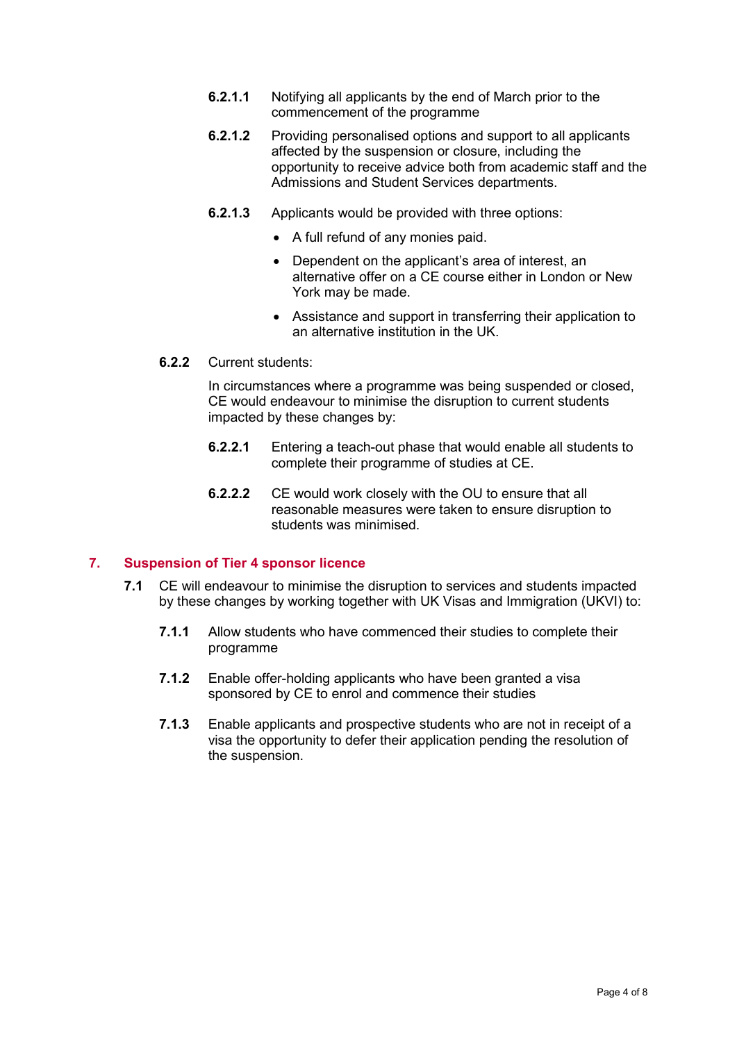- **6.2.1.1** Notifying all applicants by the end of March prior to the commencement of the programme
- **6.2.1.2** Providing personalised options and support to all applicants affected by the suspension or closure, including the opportunity to receive advice both from academic staff and the Admissions and Student Services departments.
- **6.2.1.3** Applicants would be provided with three options:
	- A full refund of any monies paid.
	- Dependent on the applicant's area of interest, an alternative offer on a CE course either in London or New York may be made.
	- Assistance and support in transferring their application to an alternative institution in the UK.
- **6.2.2** Current students:

In circumstances where a programme was being suspended or closed, CE would endeavour to minimise the disruption to current students impacted by these changes by:

- **6.2.2.1** Entering a teach-out phase that would enable all students to complete their programme of studies at CE.
- **6.2.2.2** CE would work closely with the OU to ensure that all reasonable measures were taken to ensure disruption to students was minimised.

### <span id="page-3-0"></span>**7. Suspension of Tier 4 sponsor licence**

- **7.1** CE will endeavour to minimise the disruption to services and students impacted by these changes by working together with UK Visas and Immigration (UKVI) to:
	- **7.1.1** Allow students who have commenced their studies to complete their programme
	- **7.1.2** Enable offer-holding applicants who have been granted a visa sponsored by CE to enrol and commence their studies
	- **7.1.3** Enable applicants and prospective students who are not in receipt of a visa the opportunity to defer their application pending the resolution of the suspension.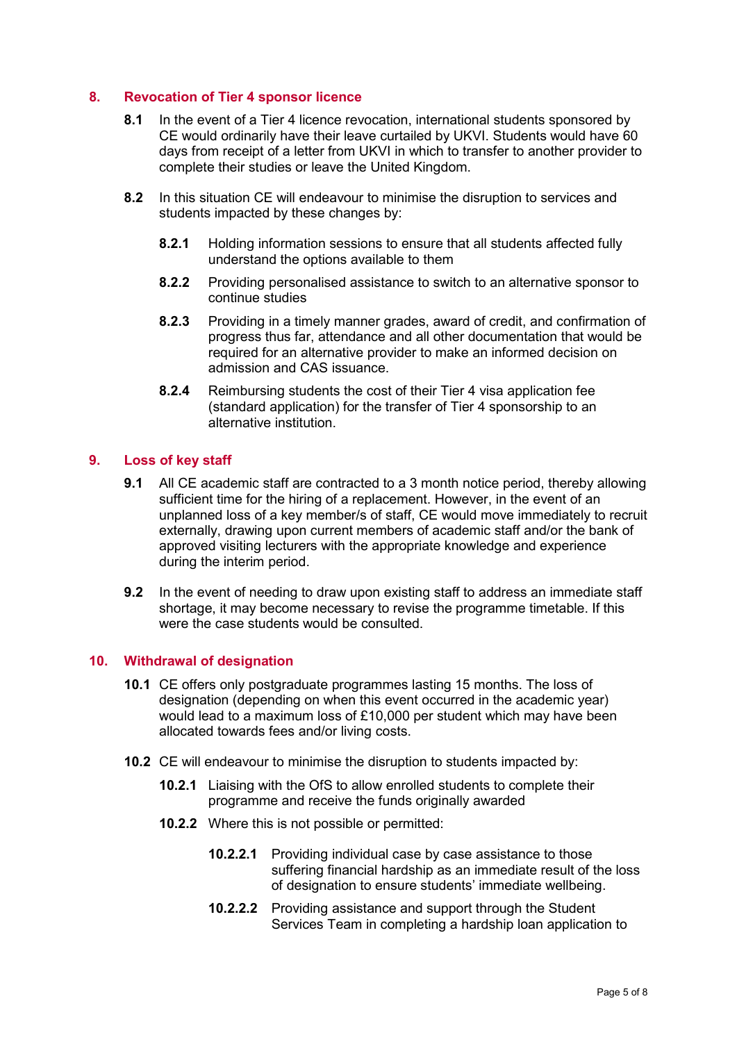# <span id="page-4-0"></span>**8. Revocation of Tier 4 sponsor licence**

- **8.1** In the event of a Tier 4 licence revocation, international students sponsored by CE would ordinarily have their leave curtailed by UKVI. Students would have 60 days from receipt of a letter from UKVI in which to transfer to another provider to complete their studies or leave the United Kingdom.
- **8.2** In this situation CE will endeavour to minimise the disruption to services and students impacted by these changes by:
	- **8.2.1** Holding information sessions to ensure that all students affected fully understand the options available to them
	- **8.2.2** Providing personalised assistance to switch to an alternative sponsor to continue studies
	- **8.2.3** Providing in a timely manner grades, award of credit, and confirmation of progress thus far, attendance and all other documentation that would be required for an alternative provider to make an informed decision on admission and CAS issuance.
	- **8.2.4** Reimbursing students the cost of their Tier 4 visa application fee (standard application) for the transfer of Tier 4 sponsorship to an alternative institution.

#### <span id="page-4-1"></span>**9. Loss of key staff**

- **9.1** All CE academic staff are contracted to a 3 month notice period, thereby allowing sufficient time for the hiring of a replacement. However, in the event of an unplanned loss of a key member/s of staff, CE would move immediately to recruit externally, drawing upon current members of academic staff and/or the bank of approved visiting lecturers with the appropriate knowledge and experience during the interim period.
- **9.2** In the event of needing to draw upon existing staff to address an immediate staff shortage, it may become necessary to revise the programme timetable. If this were the case students would be consulted.

#### <span id="page-4-2"></span>**10. Withdrawal of designation**

- **10.1** CE offers only postgraduate programmes lasting 15 months. The loss of designation (depending on when this event occurred in the academic year) would lead to a maximum loss of £10,000 per student which may have been allocated towards fees and/or living costs.
- **10.2** CE will endeavour to minimise the disruption to students impacted by:
	- **10.2.1** Liaising with the OfS to allow enrolled students to complete their programme and receive the funds originally awarded
	- **10.2.2** Where this is not possible or permitted:
		- **10.2.2.1** Providing individual case by case assistance to those suffering financial hardship as an immediate result of the loss of designation to ensure students' immediate wellbeing.
		- **10.2.2.2** Providing assistance and support through the Student Services Team in completing a hardship loan application to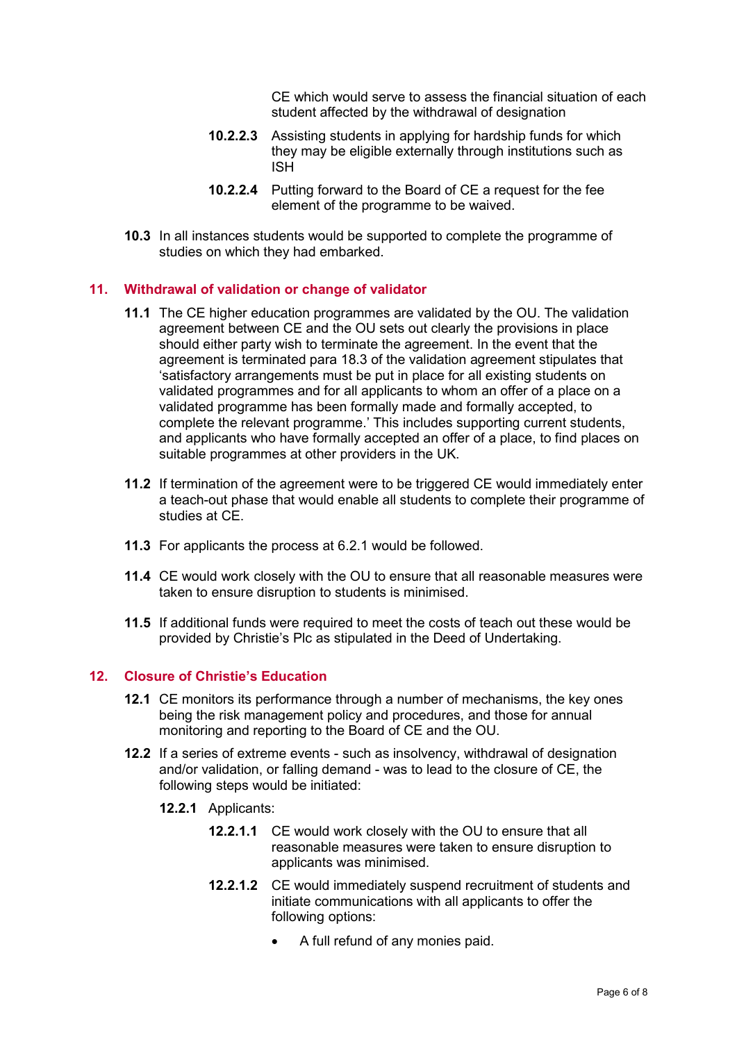CE which would serve to assess the financial situation of each student affected by the withdrawal of designation

- **10.2.2.3** Assisting students in applying for hardship funds for which they may be eligible externally through institutions such as ISH
- **10.2.2.4** Putting forward to the Board of CE a request for the fee element of the programme to be waived.
- **10.3** In all instances students would be supported to complete the programme of studies on which they had embarked.

#### <span id="page-5-0"></span>**11. Withdrawal of validation or change of validator**

- **11.1** The CE higher education programmes are validated by the OU. The validation agreement between CE and the OU sets out clearly the provisions in place should either party wish to terminate the agreement. In the event that the agreement is terminated para 18.3 of the validation agreement stipulates that 'satisfactory arrangements must be put in place for all existing students on validated programmes and for all applicants to whom an offer of a place on a validated programme has been formally made and formally accepted, to complete the relevant programme.' This includes supporting current students, and applicants who have formally accepted an offer of a place, to find places on suitable programmes at other providers in the UK.
- **11.2** If termination of the agreement were to be triggered CE would immediately enter a teach-out phase that would enable all students to complete their programme of studies at CE.
- **11.3** For applicants the process at 6.2.1 would be followed.
- **11.4** CE would work closely with the OU to ensure that all reasonable measures were taken to ensure disruption to students is minimised.
- **11.5** If additional funds were required to meet the costs of teach out these would be provided by Christie's Plc as stipulated in the Deed of Undertaking.

#### <span id="page-5-1"></span>**12. Closure of Christie's Education**

- **12.1** CE monitors its performance through a number of mechanisms, the key ones being the risk management policy and procedures, and those for annual monitoring and reporting to the Board of CE and the OU.
- **12.2** If a series of extreme events such as insolvency, withdrawal of designation and/or validation, or falling demand - was to lead to the closure of CE, the following steps would be initiated:
	- **12.2.1** Applicants:
		- **12.2.1.1** CE would work closely with the OU to ensure that all reasonable measures were taken to ensure disruption to applicants was minimised.
		- **12.2.1.2** CE would immediately suspend recruitment of students and initiate communications with all applicants to offer the following options:
			- A full refund of any monies paid.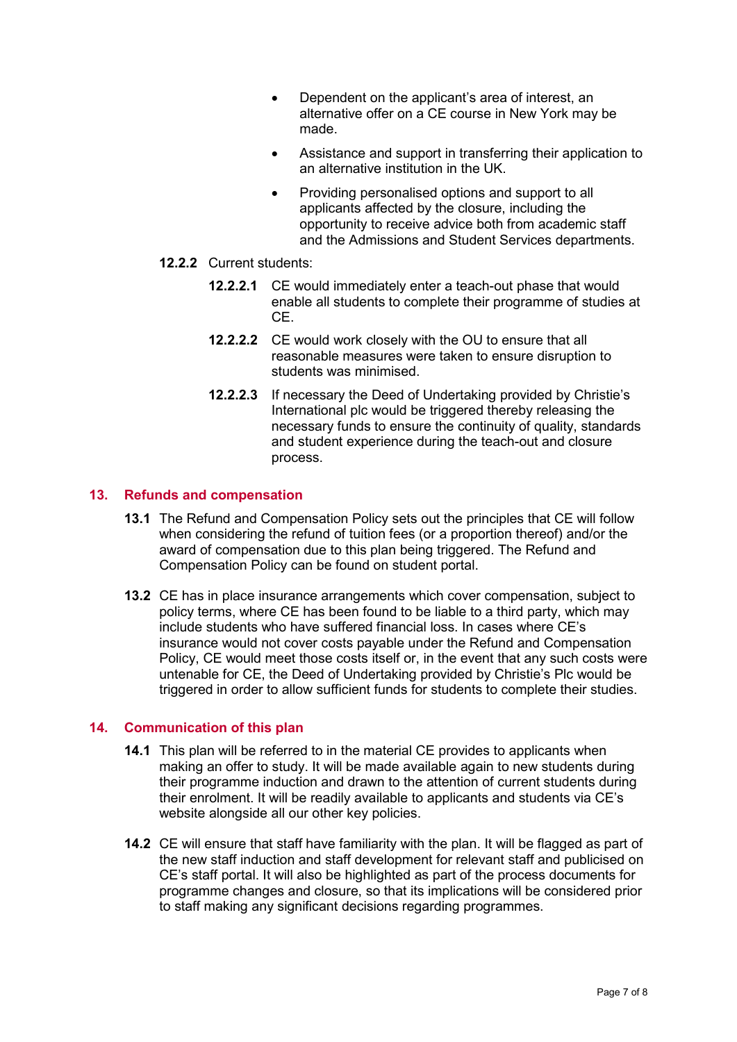- Dependent on the applicant's area of interest, an alternative offer on a CE course in New York may be made.
- Assistance and support in transferring their application to an alternative institution in the UK.
- Providing personalised options and support to all applicants affected by the closure, including the opportunity to receive advice both from academic staff and the Admissions and Student Services departments.
- **12.2.2** Current students:
	- **12.2.2.1** CE would immediately enter a teach-out phase that would enable all students to complete their programme of studies at CE.
	- **12.2.2.2** CE would work closely with the OU to ensure that all reasonable measures were taken to ensure disruption to students was minimised.
	- **12.2.2.3** If necessary the Deed of Undertaking provided by Christie's International plc would be triggered thereby releasing the necessary funds to ensure the continuity of quality, standards and student experience during the teach-out and closure process.

# <span id="page-6-0"></span>**13. Refunds and compensation**

- **13.1** The Refund and Compensation Policy sets out the principles that CE will follow when considering the refund of tuition fees (or a proportion thereof) and/or the award of compensation due to this plan being triggered. The Refund and Compensation Policy can be found on student portal.
- **13.2** CE has in place insurance arrangements which cover compensation, subject to policy terms, where CE has been found to be liable to a third party, which may include students who have suffered financial loss. In cases where CE's insurance would not cover costs payable under the Refund and Compensation Policy, CE would meet those costs itself or, in the event that any such costs were untenable for CE, the Deed of Undertaking provided by Christie's Plc would be triggered in order to allow sufficient funds for students to complete their studies.

#### <span id="page-6-1"></span>**14. Communication of this plan**

- **14.1** This plan will be referred to in the material CE provides to applicants when making an offer to study. It will be made available again to new students during their programme induction and drawn to the attention of current students during their enrolment. It will be readily available to applicants and students via CE's website alongside all our other key policies.
- **14.2** CE will ensure that staff have familiarity with the plan. It will be flagged as part of the new staff induction and staff development for relevant staff and publicised on CE's staff portal. It will also be highlighted as part of the process documents for programme changes and closure, so that its implications will be considered prior to staff making any significant decisions regarding programmes.